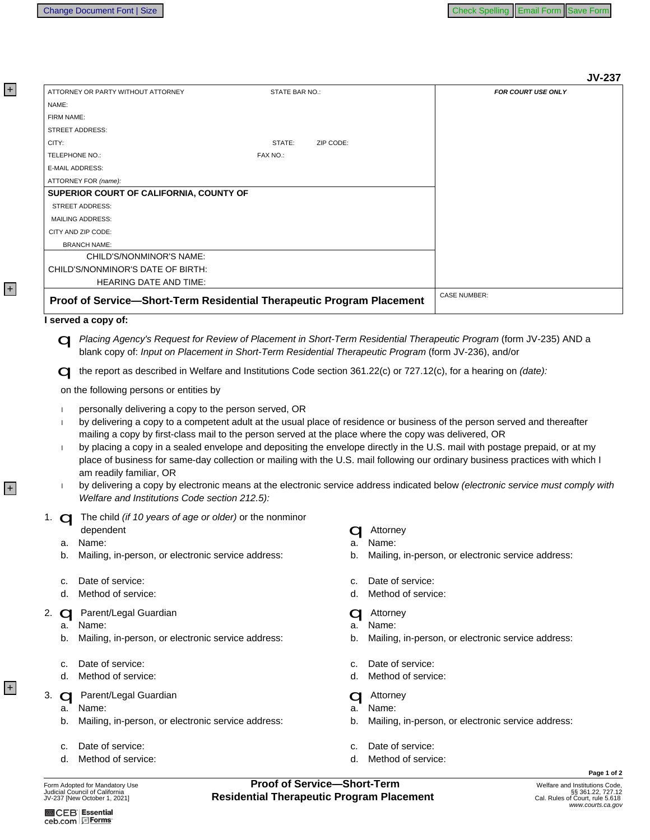| ATTORNEY OR PARTY WITHOUT ATTORNEY                                                                                                                                                                                                                                                                                                                                                                                                                                                                                                                                                                                                                                                                                                                                                                                                                             | STATE BAR NO.:           | <b>JV-237</b><br><b>FOR COURT USE ONLY</b>         |
|----------------------------------------------------------------------------------------------------------------------------------------------------------------------------------------------------------------------------------------------------------------------------------------------------------------------------------------------------------------------------------------------------------------------------------------------------------------------------------------------------------------------------------------------------------------------------------------------------------------------------------------------------------------------------------------------------------------------------------------------------------------------------------------------------------------------------------------------------------------|--------------------------|----------------------------------------------------|
| NAME:                                                                                                                                                                                                                                                                                                                                                                                                                                                                                                                                                                                                                                                                                                                                                                                                                                                          |                          |                                                    |
| FIRM NAME:                                                                                                                                                                                                                                                                                                                                                                                                                                                                                                                                                                                                                                                                                                                                                                                                                                                     |                          |                                                    |
| <b>STREET ADDRESS:</b>                                                                                                                                                                                                                                                                                                                                                                                                                                                                                                                                                                                                                                                                                                                                                                                                                                         |                          |                                                    |
| CITY:                                                                                                                                                                                                                                                                                                                                                                                                                                                                                                                                                                                                                                                                                                                                                                                                                                                          | STATE:<br>ZIP CODE:      |                                                    |
| TELEPHONE NO.:                                                                                                                                                                                                                                                                                                                                                                                                                                                                                                                                                                                                                                                                                                                                                                                                                                                 | FAX NO.:                 |                                                    |
| E-MAIL ADDRESS:                                                                                                                                                                                                                                                                                                                                                                                                                                                                                                                                                                                                                                                                                                                                                                                                                                                |                          |                                                    |
| ATTORNEY FOR (name):                                                                                                                                                                                                                                                                                                                                                                                                                                                                                                                                                                                                                                                                                                                                                                                                                                           |                          |                                                    |
| SUPERIOR COURT OF CALIFORNIA, COUNTY OF                                                                                                                                                                                                                                                                                                                                                                                                                                                                                                                                                                                                                                                                                                                                                                                                                        |                          |                                                    |
| STREET ADDRESS:                                                                                                                                                                                                                                                                                                                                                                                                                                                                                                                                                                                                                                                                                                                                                                                                                                                |                          |                                                    |
| <b>MAILING ADDRESS:</b>                                                                                                                                                                                                                                                                                                                                                                                                                                                                                                                                                                                                                                                                                                                                                                                                                                        |                          |                                                    |
| CITY AND ZIP CODE:                                                                                                                                                                                                                                                                                                                                                                                                                                                                                                                                                                                                                                                                                                                                                                                                                                             |                          |                                                    |
| <b>BRANCH NAME:</b>                                                                                                                                                                                                                                                                                                                                                                                                                                                                                                                                                                                                                                                                                                                                                                                                                                            |                          |                                                    |
| CHILD'S/NONMINOR'S NAME:                                                                                                                                                                                                                                                                                                                                                                                                                                                                                                                                                                                                                                                                                                                                                                                                                                       |                          |                                                    |
| CHILD'S/NONMINOR'S DATE OF BIRTH:                                                                                                                                                                                                                                                                                                                                                                                                                                                                                                                                                                                                                                                                                                                                                                                                                              |                          |                                                    |
| <b>HEARING DATE AND TIME:</b>                                                                                                                                                                                                                                                                                                                                                                                                                                                                                                                                                                                                                                                                                                                                                                                                                                  |                          |                                                    |
| Proof of Service-Short-Term Residential Therapeutic Program Placement                                                                                                                                                                                                                                                                                                                                                                                                                                                                                                                                                                                                                                                                                                                                                                                          |                          | <b>CASE NUMBER:</b>                                |
| the report as described in Welfare and Institutions Code section 361.22(c) or 727.12(c), for a hearing on (date):                                                                                                                                                                                                                                                                                                                                                                                                                                                                                                                                                                                                                                                                                                                                              |                          |                                                    |
| on the following persons or entities by<br>personally delivering a copy to the person served, OR<br>-1<br>by delivering a copy to a competent adult at the usual place of residence or business of the person served and thereafter<br>$\overline{1}$<br>mailing a copy by first-class mail to the person served at the place where the copy was delivered, OR<br>by placing a copy in a sealed envelope and depositing the envelope directly in the U.S. mail with postage prepaid, or at my<br>$\mathbf{I}$<br>place of business for same-day collection or mailing with the U.S. mail following our ordinary business practices with which I<br>am readily familiar, OR<br>by delivering a copy by electronic means at the electronic service address indicated below (electronic service must comply with<br>Welfare and Institutions Code section 212.5): |                          |                                                    |
|                                                                                                                                                                                                                                                                                                                                                                                                                                                                                                                                                                                                                                                                                                                                                                                                                                                                |                          |                                                    |
| dependent                                                                                                                                                                                                                                                                                                                                                                                                                                                                                                                                                                                                                                                                                                                                                                                                                                                      |                          |                                                    |
| 1. <b>Q</b> The child (if 10 years of age or older) or the nonminor<br>Name:<br>a.                                                                                                                                                                                                                                                                                                                                                                                                                                                                                                                                                                                                                                                                                                                                                                             | Attorney<br>Name:<br>a.  |                                                    |
| Mailing, in-person, or electronic service address:<br>b.                                                                                                                                                                                                                                                                                                                                                                                                                                                                                                                                                                                                                                                                                                                                                                                                       | b.                       | Mailing, in-person, or electronic service address: |
| Date of service:<br>c.                                                                                                                                                                                                                                                                                                                                                                                                                                                                                                                                                                                                                                                                                                                                                                                                                                         | Date of service:<br>c.   |                                                    |
| Method of service:                                                                                                                                                                                                                                                                                                                                                                                                                                                                                                                                                                                                                                                                                                                                                                                                                                             | Method of service:<br>d. |                                                    |
| Parent/Legal Guardian<br>$\mathbf C$                                                                                                                                                                                                                                                                                                                                                                                                                                                                                                                                                                                                                                                                                                                                                                                                                           | Attorney                 |                                                    |
| 2.<br>Name:<br>а.                                                                                                                                                                                                                                                                                                                                                                                                                                                                                                                                                                                                                                                                                                                                                                                                                                              | Name:<br>a.              |                                                    |

- c. Date of service:
- d. Method of service:

- 
- b. Mailing, in-person, or electronic service address:
- c. Date of service:
- d. Method of service:
- **Proof of Service-Short-Term**<br>Residential Therapeutic Program Placement

b.

d.

c. Date of service:

c. Date of service:

Method of service:

d. Method of service:

Mailing, in-person, or electronic service address:

Page 1 of 2

ceb.com EForms

 $+$ 

 $\overline{+}$ 

+

 $+$